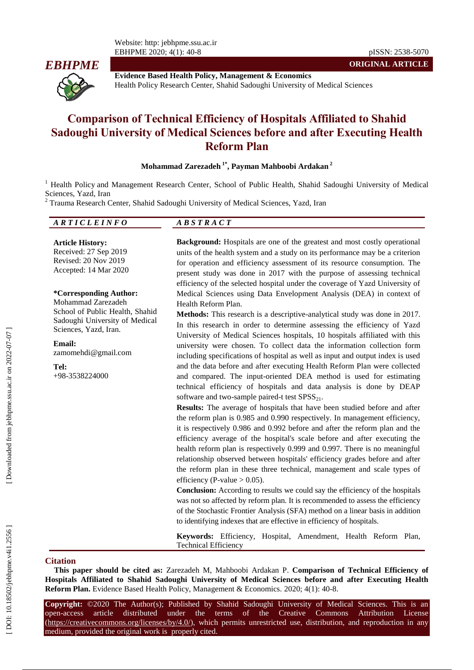

**Evidence Based Health Policy, Management & Economics** Health Policy Research Center, Shahid Sadoughi University of Medical Science s

# **Comparison of Technical Efficiency of Hospitals Affiliated to Shahid Sadoughi University of Medical Sciences before and after Executing Health Reform Plan**

### **Mohammad Zarezadeh 1 \* , Payman Mahboobi Ardakan 2**

<sup>1</sup> Health Policy and Management Research Center, School of Public Health, Shahid Sadoughi University of Medical Sciences, Yazd, Iran<br><sup>2</sup> Trauma Research Center, Shahid Sadoughi University of Medical Sciences, Yazd, Iran

| EINFA |  |
|-------|--|
|       |  |

**Article History:** Received: 27 Sep 2019 Revised: 20 Nov 2019 Accepted: 14 Mar 2020

#### **\*Corresponding Author:**

Mohammad Zarezadeh School of Public Health, Shahid Sadoughi University of Medical Sciences, Yazd, Iran .

**Email:** zamomehdi@gmail.com

**Tel:** +98 -3538224000 **Background:** Hospitals are one of the greatest and most costly operational units of the health system and a study on its performance may be a criterion for operation and efficiency assessment of its resource consumption. The present study was done in 2017 with the purpose of assessing technical efficiency of the selected hospital under the coverage of Yazd University of Medical Sciences using Data Envelopment Analysis (DEA) in context of Health Reform Plan .

**Methods:** This research is a descriptive -analytical study was done in 2017. In this research in order to determine assessing the efficiency of Yazd University of Medical Sciences hospitals, 10 hospitals affiliated with this university were chosen. To collect data the information collection form including specifications of hospital as well as input and output index is used and the data before and after executing Health Reform Plan were collected and compared. The input -oriented DEA method is used for estimating technical efficiency of hospitals and data analysis is done by DEAP software and two-sample paired-t test  $SPSS_{21}$ .

**Results:** The average of hospitals that have been studied before and after the reform plan is 0.985 and 0.990 respectively. In management efficiency, it is respectively 0.986 and 0.992 before and after the reform plan and the efficiency average of the hospital's scale before and after executing the health reform plan is respectively 0.999 and 0.997. There is no meaningful relationship observed between hospitals' efficiency grades before and after the reform plan in these three technical, management and scale types of efficiency (P-value  $> 0.05$ ).

**Conclusion:** According to results we could say the efficiency of the hospitals was not so affected by reform plan. It is recommended to assess the efficiency of the Stochastic Frontier Analysis (SFA) method on a linear basis in addition to identifying indexes that are effective in efficiency of hospitals.

**Keywords:** Efficiency, Hospital, Amendment, Health Reform Plan, Technical Efficiency

#### **Ci tation**

**This paper should be cited as:** Zarezadeh M, Mahboobi Ardakan P. **Comparison of Technical Efficiency of Hospitals Affiliated to Shahid Sadoughi University of Medical Sciences before and after Executing Health Reform Plan.** Evidence Based Health Policy, Management & Economics. 2020; 4(1): 40-8.

**Copyright:** ©2020 The Author(s); Published by Shahid Sadoughi University of Medical Sciences. This is an open-access -access article distributed under the terms of the Creative Commons Attribution License (https://creativecommons.org/licenses/by/4.0/), which permits unrestricted use, distribution, and reproduction in any medium, provided the original work is properly cited.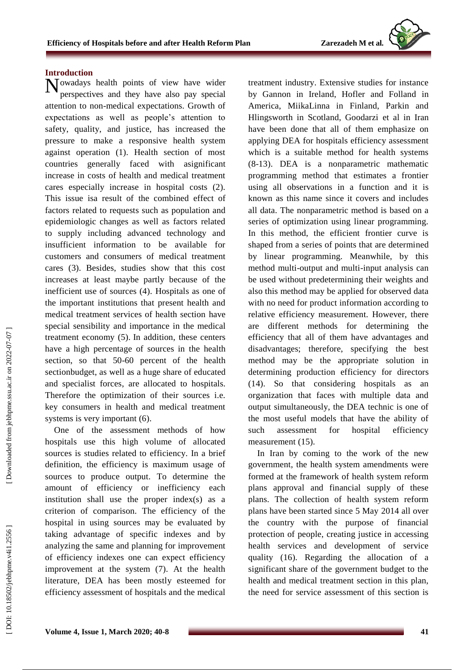## **Introduction**

 $N_{\text{perspectives}}$  and they have also pay special perspectives and they have also pay special attention to non -medical expectations. Growth of expectations as well as people's attention to safety, quality, and justice, has increased the pressure to make a responsive health system against operation (1). Health section of most countries generally faced with asignificant increase in costs of health and medical treatment cares especially increase in hospital costs (2). This issue isa result of the combined effect of factors related to request s such as population and epidemiologic changes as well as factors related to supply including advanced technology and insufficient information to be available for customers and consumers of medical treatment cares (3). Besides, studies show that this cost increase s at least maybe partly because of the inefficient use of sources (4). Hospital s as one of the important institutions that present health and medical treatment services of health section have special sensibility and importance in the medical treatment economy (5). In addition , these centers have a high percentage of sources in the health section, so that 50 -60 percent of the health sectionbudget, as well as a huge share of educated and specialist forces , are allocated to hospitals. Therefore the optimization of their sources i.e. key consumers in health and medical treatment systems is very important (6).

One of the assessment methods of how hospitals use this high volume of allocated sources is studies related to efficiency. In a brief definition, the efficiency is maximum usage of sources to produce output. To determine the amount of efficiency or inefficiency each institution shall use the proper index(s) as a criterion of comparison. The efficiency of the hospital in using sources may be evaluated by taking advantage of specific indexes and by analyzing the same and planning for improvement of efficiency indexes one can expect efficiency improvement at the system (7). At the health literature, DEA has been mostly esteemed for efficiency assessment of hospitals and the medical treatment industry. Extensive studies for instance by Gannon in Ireland, Hofler and Folland in America, MiikaLinna in Finland, Parkin and Hlingsworth in Scotland, Goodarzi et al in Iran have been done that all of them emphasize on applying DEA for hospitals efficiency assessment which is a suitable method for health systems (8 -13). DEA is a nonparametric mathematic programming method that estimates a frontier using all observations in a function and it is known as this name since it covers and includes all data. The nonparametric method is based on a series of optimization using linear programming. In this method, the efficient frontier curve is shaped from a series of points that are determined by linear programming. Meanwhile, by this method multi -output and multi -input analysis can be used without predetermining their weights and also this method may be applied for observed data with no need for product information according to relative efficiency measurement. However, there are different methods for determining the efficiency that all of them have advantages and disadvantages; therefore, specifying the best method may be the appropriate solution in determining production efficiency for directors (14). So that considering hospitals as an organization that faces with multiple data and output simultaneously, the DEA technic is one of the most useful models that have the ability of such assessment for hospital efficiency measurement (15).

In Iran by coming to the work of the new government, the health system amendments were formed at the framework of health system reform plans approval and financial supply of these plans. The collection of health system reform plans have been started since 5 May 2014 all over the country with the purpose of financial protection of people, creating justice in accessing health services and development of service quality (16). Regarding the allocation of a significant share of the government budget to the health and medical treatment section in this plan, the need for service assessment of this section is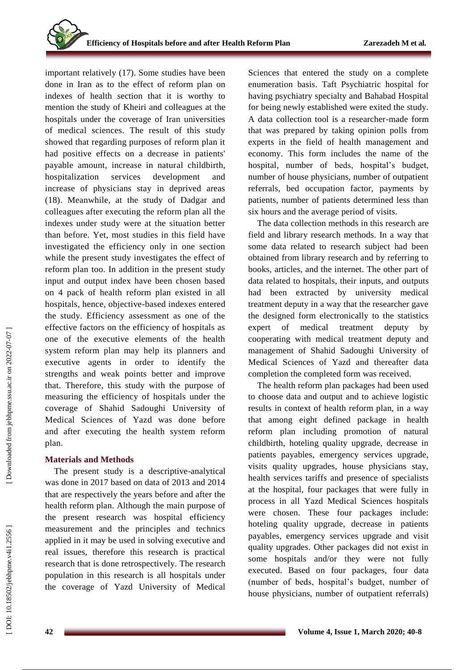important relatively (17). Some studies have been done in Iran as to the effect of reform plan on indexes of health section that it is worthy to mention the study of Kheiri and colleagues at the hospitals under the coverage of Iran universities of medical sciences. The result of this study showed that regarding purposes of reform plan it had positive effects on a decrease in patients' payable amount, increase in natural childbirth, hospitalization services development and increase of physicians stay in deprived areas (18). Meanwhile, at the study of Dadgar and colleagues after executing the reform plan all the indexes under study were at the situation better than before. Yet, most studies in this field have investigated the efficiency only in one section while the present study investigates the effect of reform plan too. In addition in the present study input and output index have been chosen based on 4 pack of health reform plan existed in all hospitals, hence, objective -based indexes entered the study. Efficiency assessment as one of the effective factors on the efficiency of hospitals as one of the executive elements of the health system reform plan may help its planners and executive agents in order to identify the strengths and weak points better and improve that. Therefore, this study with the purpose of measuring the efficiency of hospitals under the coverage of Shahid Sadoughi University of Medical Sciences of Yazd was done before and after executing the health system reform plan.

# **Materials and Methods**

The present study is a descriptive -analytical was done in 2017 based on data of 2013 and 2014 that are respectively the years before and after the health reform plan. Although the main purpose of the present research was hospital efficiency measurement and the principles and technics applied in it may be used in solving executive and real issues, therefore this research is practical research that is done retrospectively. The research population in this research is all hospitals under the coverage of Yazd University of Medical

Sciences that entered the study on a complete enumeration basis. Taft Psychiatric hospital for having psychiatry specialty and Bahabad Hospital for being newly established were exited the study. A data collection tool is a researcher -made form that was prepared by taking opinion polls from experts in the field of health management and economy. This form includes the name of the hospital, number of beds, hospital's budget, number of house physicians, number of outpatient referrals, bed occupation factor, payments by patients, number of patients determined less than six hours and the average period of visits.

The data collection methods in this research are field and library research methods. In a way that some data related to research subject had been obtained from library research and by referring to books, articles, and the internet. The other part of data related to hospitals, their inputs, and outputs had been extracted by university medical treatment deputy in a way that the researcher gave the designed form electronically to the statistics expert of medical treatment deputy by cooperating with medical treatment deputy and management of Shahid Sadoughi University of Medical Sciences of Yazd and thereafter data completion the completed form was received.

The health reform plan packages had been used to choose data and output and to achieve logistic results in context of health reform plan, in a way that among eight defined package in health reform plan including promotion of natural childbirth, hoteling quality upgrade, decrease in patients payables, emergency services upgrade, visits quality upgrades, house physicians stay, health services tariffs and presence of specialists at the hospital, four packages that were fully in process in all Yazd Medical Sciences hospitals were chosen. These four packages include: hoteling quality upgrade, decrease in patients payables, emergency services upgrade and visit quality upgrades. Other packages did not exist in some hospitals and/or they were not fully executed. Based on four packages, four data (number of beds, hospital's budget, number of house physicians, number of outpatient referrals)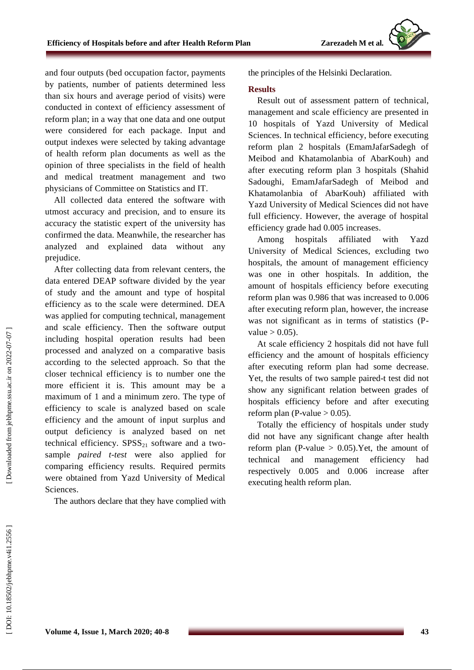and four outputs (bed occupation factor, payments by patients, number of patients determined less than six hours and average period of visits) were conducted in context of efficiency assessment of reform plan; in a way that one data and one output were considered for each package. Input and output indexes were selected by taking advantage of health reform plan documents as well as the opinion of three specialists in the field of health and medical treatment management and two physicians of Committee on Statistics and IT.

All collected data entered the software with utmost accuracy and precision, and to ensure its accuracy the statistic expert of the university has confirmed the data. Meanwhile, the researcher has analyzed and explained data without any prejudice.

After collecting data from relevant centers, the data entered DEAP software divided by the year of study and the amount and type of hospital efficiency as to the scale were determined. DEA was applied for computing technical, management and scale efficiency. Then the software output including hospital operation results had been processed and analyzed on a comparative basis according to the selected approach. So that the closer technical efficiency is to number one the more efficient it is. This amount may be a maximum of 1 and a minimum zero. The type of efficiency to scale is analyzed based on scale efficiency and the amount of input surplus and output deficiency is analyzed based on net technical efficiency.  $SPSS_{21}$  software and a twosample *paired t -test* were also applied for comparing efficiency results. Required permits were obtained from Yazd University of Medical Sciences .

The authors declare that they have complied with

the principles of the Helsinki Declaration.

### **Results**

Result out of assessment pattern of technical, management and scale efficiency are presented in 10 hospitals of Yazd University of Medical Sciences. In technical efficiency, before executing reform plan 2 hospitals (EmamJafarSadegh of Meibod and Khatamolanbia of AbarKouh) and after executing reform plan 3 hospitals (Shahid Sadoughi, EmamJafarSadegh of Meibod and Khatamolanbia of AbarKouh) affiliated with Yazd University of Medical Sciences did not have full efficiency. However, the average of hospital efficiency grade had 0.005 increases .

Among hospitals affiliated with Yazd University of Medical Sciences, excluding two hospitals, the amount of management efficiency was one in other hospitals. In addition, the amount of hospitals efficiency before executing reform plan was 0.986 that was increased to 0.006 after executing reform plan, however, the increase was not significant as in terms of statistics (P value  $> 0.05$ ).

At scale efficiency 2 hospitals did not have full efficiency and the amount of hospitals efficiency after executing reform plan had some decrease. Yet, the results of two sample paired -t test did not show any significant relation between grades of hospitals efficiency before and after executing reform plan (P-value  $> 0.05$ ).

Totally the efficiency of hospitals under study did not have any significant change after health reform plan (P-value  $> 0.05$ ). Yet, the amount of technical and management efficiency had respectively 0.005 and 0.006 increase after executing health reform plan.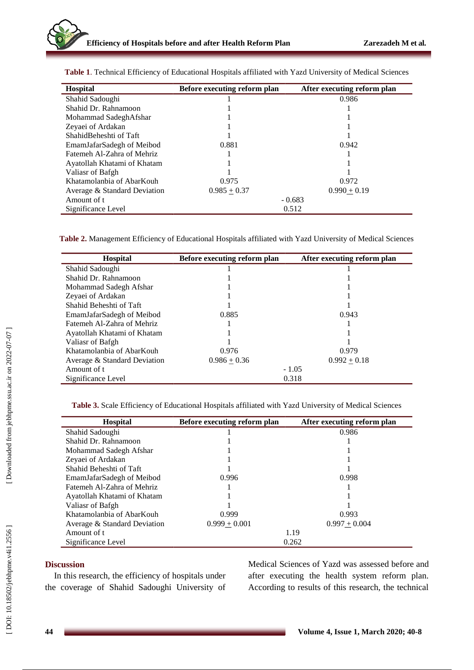| <b>Hospital</b>              | Before executing reform plan | After executing reform plan |
|------------------------------|------------------------------|-----------------------------|
| Shahid Sadoughi              |                              | 0.986                       |
| Shahid Dr. Rahnamoon         |                              |                             |
| Mohammad SadeghAfshar        |                              |                             |
| Zeyaei of Ardakan            |                              |                             |
| Shahid Beheshti of Taft      |                              |                             |
| EmamJafarSadegh of Meibod    | 0.881                        | 0.942                       |
| Fatemeh Al-Zahra of Mehriz   |                              |                             |
| Ayatollah Khatami of Khatam  |                              |                             |
| Valiasr of Bafgh             |                              |                             |
| Khatamolanbia of AbarKouh    | 0.975                        | 0.972                       |
| Average & Standard Deviation | $0.985 + 0.37$               | $0.990 + 0.19$              |
| Amount of t                  | $-0.683$                     |                             |
| Significance Level           | 0.512                        |                             |

**Table 1** . Technical Efficiency of Educational Hospitals affiliated with Yazd University of Medical Sciences

**Table 2 .** Management Efficiency of Educational Hospitals affiliated with Yazd University of Medical Sciences

| <b>Hospital</b>              | Before executing reform plan | After executing reform plan |
|------------------------------|------------------------------|-----------------------------|
| Shahid Sadoughi              |                              |                             |
| Shahid Dr. Rahnamoon         |                              |                             |
| Mohammad Sadegh Afshar       |                              |                             |
| Zeyaei of Ardakan            |                              |                             |
| Shahid Beheshti of Taft      |                              |                             |
| EmamJafarSadegh of Meibod    | 0.885                        | 0.943                       |
| Fatemeh Al-Zahra of Mehriz   |                              |                             |
| Ayatollah Khatami of Khatam  |                              |                             |
| Valiasr of Bafgh             |                              |                             |
| Khatamolanbia of AbarKouh    | 0.976                        | 0.979                       |
| Average & Standard Deviation | $0.986 + 0.36$               | $0.992 + 0.18$              |
| Amount of t                  | $-1.05$                      |                             |
| Significance Level           | 0.318                        |                             |

**Table 3 .** Scale Efficiency of Educational Hospitals affiliated with Yazd University of Medical Sciences

| <b>Hospital</b>              | Before executing reform plan | After executing reform plan |
|------------------------------|------------------------------|-----------------------------|
| Shahid Sadoughi              |                              | 0.986                       |
| Shahid Dr. Rahnamoon         |                              |                             |
| Mohammad Sadegh Afshar       |                              |                             |
| Zeyaei of Ardakan            |                              |                             |
| Shahid Beheshti of Taft      |                              |                             |
| EmamJafarSadegh of Meibod    | 0.996                        | 0.998                       |
| Fatemeh Al-Zahra of Mehriz   |                              |                             |
| Ayatollah Khatami of Khatam  |                              |                             |
| Valiasr of Bafgh             |                              |                             |
| Khatamolanbia of AbarKouh    | 0.999                        | 0.993                       |
| Average & Standard Deviation | $0.999 + 0.001$              | $0.997 + 0.004$             |
| Amount of t                  | 1.19                         |                             |
| Significance Level           | 0.262                        |                             |

## **Discussion**

In this research, the efficiency of hospitals under the coverage of Shahid Sadoughi University of Medical Sciences of Yazd was assessed before and after executing the health system reform plan. According to results of this research, the technical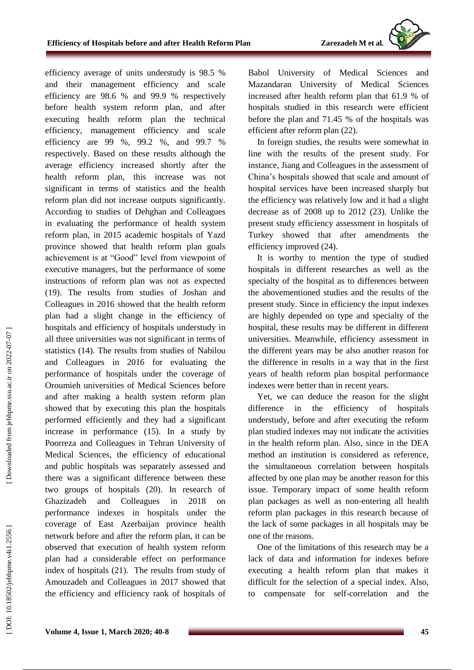efficiency average of units understudy is 98.5 % and their management efficiency and scale efficiency are 98.6 % and 99.9 % respectively before health system reform plan, and after executing health reform plan the technical efficiency, management efficiency and scale efficiency are 99 %, 99.2 %, and 99.7 % respectively. Based on these results although the average efficiency increased shortly after the health reform plan, this increase was not significant in terms of statistics and the health reform plan did not increase outputs significantly. According to studies of Dehghan and Colleagues in evaluating the performance of health system reform plan, in 2015 academic hospitals of Yazd province showed that health reform plan goals achievement is at "Good" level from viewpoint of executive managers, but the performance of some instructions of reform plan was not as expected (19). The results from studies of Joshan and Colleagues in 2016 showed that the health reform plan had a slight change in the efficiency of hospitals and efficiency of hospitals understudy in all three universities was not significant in terms of statistics (14). The results from studies of Nabilou and Colleagues in 2016 for evaluating the performance of hospitals under the coverage of Oroumieh universities of Medical Sciences before and after making a health system reform plan showed that by executing this plan the hospitals performed efficiently and they had a significant increase in performance (15). In a study by Poorreza and Colleagues in Tehran University of Medical Sciences, the efficiency of educational and public hospitals was separately assessed and there was a significant difference between these two groups of hospitals (20). In research of Ghazizadeh and Colleagues in 2018 on performance indexes in hospitals under the coverage of East Azerbaijan province health network before and after the reform plan, it can be observed that execution of health system reform plan had a considerable effect on performance index of hospitals (21). The results from study of Amouzadeh and Colleagues in 2017 showed that the efficiency and efficiency rank of hospitals of

Babol University of Medical Sciences and Mazandaran University of Medical Sciences increased after health reform plan that 61.9 % of hospitals studied in this research were efficient before the plan and 71.45 % of the hospitals was efficient after reform plan (22).

In foreign studies, the results were somewhat in line with the results of the present study. For instance, Jiang and Colleagues in the assessment of China's hospitals showed that scale and amount of hospital services have been increased sharply but the efficiency was relatively low and it had a slight decrease as of 2008 up to 2012 (23). Unlike the present study efficiency assessment in hospitals of Turkey showed that after amendments the efficiency improved (24).

It is worthy to mention the type of studied hospitals in different researches as well as the specialty of the hospital as to differences between the abovementioned studies and the results of the present study. Since in efficiency the input indexes are highly depended on type and specialty of the hospital, these results may be different in different universities. Meanwhile, efficiency assessment in the different years may be also another reason for the difference in results in a way that in the first years of health reform plan hospital performance indexes were better than in recent years.

Yet, we can deduce the reason for the slight difference in the efficiency of hospitals understudy, before and after executing the reform plan studied indexes may not indicate the activities in the health reform plan. Also, since in the DEA method an institution is considered as reference, the simultaneous correlation between hospitals affected by one plan may be another reason for this issue. Temporary impact of some health reform plan packages as well as non -entering all health reform plan packages in this research because of the lack of some packages in all hospitals may be one of the reasons.

One of the limitations of this research may be a lack of data and information for indexes before executing a health reform plan that makes it difficult for the selection of a special index. Also, to compensate for self -correlation and the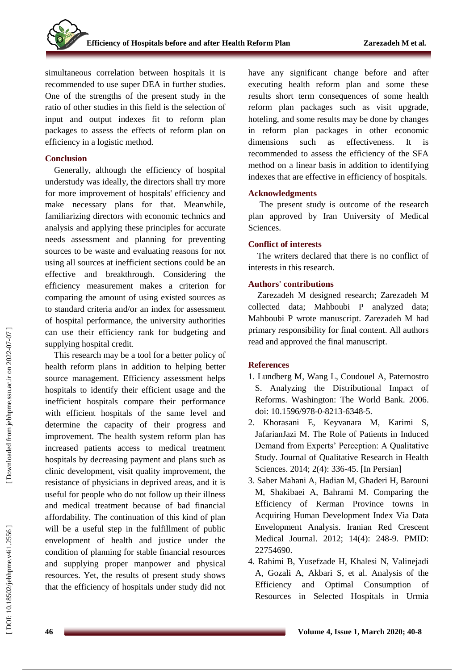simultaneous correlation between hospitals it is recommended to use super DEA in further studies. One of the strengths of the present study in the ratio of other studies in this field is the selection of input and output indexes fit to reform plan packages to assess the effects of reform plan on efficiency in a logistic method.

## **Conclusion**

Generally, although the efficiency of hospital understudy was ideally, the directors shall try more for more improvement of hospitals' efficiency and make necessary plans for that. Meanwhile, familiarizing directors with economic technics and analysis and applying these principles for accurate needs assessment and planning for preventing sources to be waste and evaluating reasons for not using all sources at inefficient sections could be an effective and breakthrough. Considering the efficiency measurement makes a criterion for comparing the amount of using existed sources as to standard criteria and/or an index for assessment of hospital performance, the university authorities can use their efficiency rank for budgeting and supplying hospital credit.

This research may be a tool for a better policy of health reform plans in addition to helping better source management. Efficiency assessment helps hospitals to identify their efficient usage and the inefficient hospitals compare their performance with efficient hospitals of the same level and determine the capacity of their progress and improvement. The health system reform plan has increased patients access to medical treatment hospitals by decreasing payment and plans such as clinic development, visit quality improvement, the resistance of physicians in deprived areas, and it is useful for people who do not follow up their illness and medical treatment because of bad financial affordability. The continuation of this kind of plan will be a useful step in the fulfillment of public envelopment of health and justice under the condition of planning for stable financial resources and supplying proper manpower and physical resources. Yet, the results of present study shows that the efficiency of hospitals under study did not

have any significant change before and after executing health reform plan and some these results short term consequences of some health reform plan packages such as visit upgrade, hoteling, and some results may be done by changes in reform plan packages in other economic dimensions such as effectiveness. It is recommended to assess the efficiency of the SFA method on a linear basis in addition to identifying indexes that are effective in efficiency of hospitals.

## **Acknowledgments**

The present study is outcome of the research plan approved by Iran University of Medical Sciences.

## **Conflict of interests**

The writers declared that there is no conflict of interests in this research.

## **Authors' contributions**

Zarezadeh M designed research ; Zarezadeh M collected data; Mahboubi P analyzed data; Mahboubi P wrote manuscript. Zarezadeh M had primary responsibility for final content. All authors read and approved the final manuscript.

# **References**

- 1. Lundberg M, Wang L, Coudouel A, Paternostro S. Analyzing the Distributional Impact of Reforms. Washington: The World Bank. 2006. doi: 10.1596/978-0-8213-6348-5.
- 2. Khorasani E, Keyvanara M, Karimi S, JafarianJazi M. The Role of Patients in Induced Demand from Experts' Perception: A Qualitative Study. Journal of Qualitative Research in Health Sciences. 2014; 2(4): 336 -45. [In Persian]
- 3. Saber Mahani A, Hadian M, Ghaderi H, Barouni M, Shakibaei A, Bahrami M. Comparing the Efficiency of Kerman Province towns in Acquiring Human Development Index Via Data Envelopment Analysis. Iranian Red Crescent Medical Journal. 2012; 14(4): 248 -9. PMID: 22754690.
- 4. Rahimi B, Yusefzade H, Khalesi N, Valinejadi A, Gozali A, Akbari S, et al. Analysis of the Efficiency and Optimal Consumption of Resources in Selected Hospitals in Urmia

DOI: 10.18502/jebhpme.v4i1.2556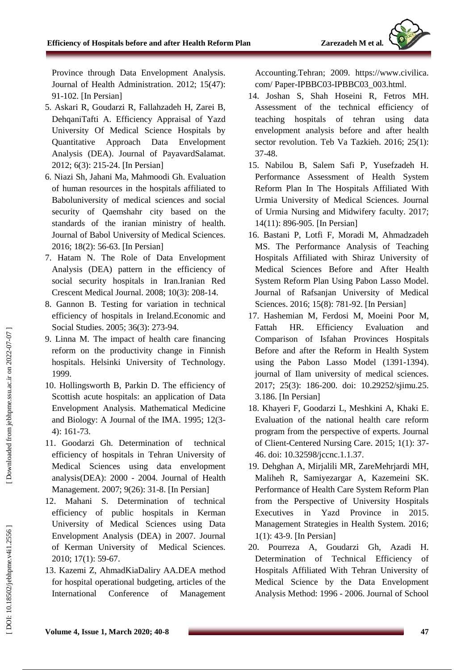Province through Data Envelopment Analysis. Journal of Health Administration. 2012; 15(47): 91 -102. [In Persian]

- 5. Askari R, Goudarzi R, Fallahzadeh H, Zarei B, DehqaniTafti A. Efficiency Appraisal of Yazd University Of Medical Science Hospitals by Quantitative Approach Data Envelopment Analysis (DEA). Journal of PayavardSalamat. 2012; 6(3): 215 -24. [In Persian]
- 6. Niazi Sh, Jahani Ma, Mahmoodi Gh. Evaluation of human resources in the hospitals affiliated to Baboluniversity of medical sciences and social security of Qaemshahr city based on the standards of the iranian ministry of health. Journal of Babol University of Medical Sciences. 2016; 18(2): 56 -63. [In Persian]
- 7. Hatam N. The Role of Data Envelopment Analysis (DEA) pattern in the efficiency of social security hospitals in Iran.Iranian Red Crescent Medical Journal. 2008; 10(3): 208 -14 .
- 8. Gannon B. Testing for variation in technical efficiency of hospitals in Ireland.Economic and Social Studies. 2005; 36(3): 273 -94.
- 9. Linna M. The impact of health care financing reform on the productivity change in Finnish hospitals. Helsinki University of Technology. 1999.
- 10. Hollingsworth B, Parkin D. The efficiency of Scottish acute hospitals: an application of Data Envelopment Analysis. Mathematical Medicine and Biology: A Journal of the IMA. 1995; 12(3 - 4): 161 -73.
- 11. Goodarzi Gh. Determination of technical efficiency of hospitals in Tehran University of Medical Sciences using data envelopment analysis(DEA): 2000 - 2004. Journal of Health Management. 2007; 9(26): 31 -8. [In Persian]
- 12. Mahani S. Determination of technical efficiency of public hospitals in Kerman University of Medical Sciences using Data Envelopment Analysis (DEA) in 2007. Journal of Kerman University of Medical Sciences. 2010; 17(1): 59 -67.
- 13. Kazemi Z, AhmadKiaDaliry AA.DEA method for hospital operational budgeting, articles of the International Conference of Management

Accounting.Tehran; 2009. https://www.civilica. com/ Paper -IPBBC03 -IPBBC03\_003.html.

- 14. Joshan S, Shah Hoseini R, Fetros MH. Assessment of the technical efficiency of teaching hospitals of tehran using data envelopment analysis before and after health sector revolution. Teb Va Tazkieh. 2016; 25(1): 37 -48.
- 15. Nabilou B, Salem Safi P, Yusefzadeh H. Performance Assessment of Health System Reform Plan In The Hospitals Affiliated With Urmia University of Medical Sciences. Journal of Urmia Nursing and Midwifery faculty. 2017; 14(11): 896 -905. [In Persian]
- 16. Bastani P, Lotfi F, Moradi M, Ahmadzadeh MS. The Performance Analysis of Teaching Hospitals Affiliated with Shiraz University of Medical Sciences Before and After Health System Reform Plan Using Pabon Lasso Model. Journal of Rafsanjan University of Medical Sciences. 2016; 15(8): 781-92. [In Persian]
- 17. Hashemian M, Ferdosi M, Moeini Poor M, Fattah HR. Efficiency Evaluation and Comparison of Isfahan Provinces Hospitals Before and after the Reform in Health System using the Pabon Lasso Model (1391 -1394). journal of Ilam university of medical sciences. 2017; 25(3): 186 -200. doi: 10.29252/sjimu.25. 3.186. [In Persian]
- 18. Khayeri F, Goodarzi L, Meshkini A, Khaki E. Evaluation of the national health care reform program from the perspective of experts. Journal of Client -Centered Nursing Care. 2015; 1(1): 37 - 46. doi: 10.32598/jccnc.1.1.37.
- 19. Dehghan A, Mirjalili MR, ZareMehrjardi MH, Maliheh R, Samiyezargar A, Kazemeini SK. Performance of Health Care System Reform Plan from the Perspective of University Hospitals Executives in Yazd Province in 2015. Management Strategies in Health System. 2016; 1(1): 43 -9. [In Persian]
- 20. Pourreza A, Goudarzi Gh, Azadi H. Determination of Technical Efficiency of Hospitals Affiliated With Tehran University of Medical Science by the Data Envelopment Analysis Method: 1996 - 2006. Journal of School

DOI: 10.18502/jebhpme.v4i1.2556